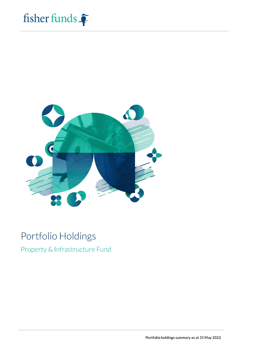



# Portfolio Holdings

Property & Infrastructure Fund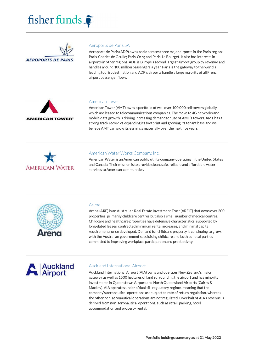



# Aeroports de Paris SA

Aeroports de Paris (ADP) owns and operates three major airports in the Paris region: Paris-Charles de Gaulle; Paris-Orly; and Paris-Le Bourget. It also has interests in airports in other regions. ADP is Europe's second largest airport group by revenue and handles around 100 million passengers a year. Paris is the gateway to the world's leading tourist destination and ADP's airports handle a large majority of all French airport passenger flows.



#### **American Tower**

American Tower (AMT) owns a portfolio of well over 100,000 cell towers globally, which are leased to telecommunications companies. The move to 4G networks and mobile data growth is driving increasing demand for use of AMT's towers. AMT has a strong track record of expanding its footprint and growing its tenant base and we believe AMT can grow its earnings materially over the next five years.



# American Water Works Company, Inc.

American Water is an American public utility company operating in the United States and Canada. Their mission is to provide clean, safe, reliable and affordable water services to American communities.



# Arena

Arena (ARF) is an Australian Real Estate Investment Trust (AREIT) that owns over 200 properties, primarily childcare centres but also a small number of medical centres. Childcare and healthcare properties have defensive characteristics, supported by long-dated leases, contracted minimum rental increases, and minimal capital requirements once developed. Demand for childcare property is continuing to grow, with the Australian government subsidising childcare and both political parties committed to improving workplace participation and productivity.



#### Auckland International Airport

Auckland International Airport (AIA) owns and operates New Zealand's major gateway as well as 1500 hectares of land surrounding the airport and has minority investments in Queenstown Airport and North Queensland Airports (Cairns & Mackay). AIA operates under a 'dual till' regulatory regime, meaning that the company's aeronautical operations are subject to rate of return regulation, whereas the other non-aeronautical operations are not regulated. Over half of AIA's revenue is derived from non-aeronautical operations, such as retail, parking, hotel accommodation and property rental.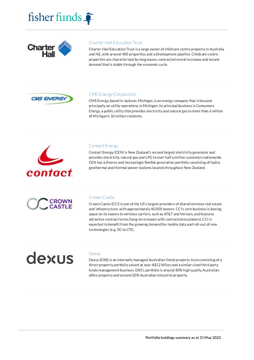



# **Charter Hall Education Trust**

Charter Hall Education Trust is a large owner of childcare centre property in Australia and NZ, with around 400 properties and a development pipeline. Childcare centre properties are characterised by long leases, contracted rental increases and tenant demand that is stable through the economic cycle.



# **CMS Energy Corporation**

CMS Energy, based in Jackson, Michigan, is an energy company that is focused principally on utility operations in Michigan. Its principal business is Consumers Energy, a public utility that provides electricity and natural gas to more than 6 million of Michigan's 10 million residents.



# **Contact Energy**

Contact Energy (CEN) is New Zealand's second largest electricity generator and provides electricity, natural gas and LPG to over half a million customers nationwide. CEN has a diverse and increasingly flexible generation portfolio consisting of hydro, geothermal and thermal power stations located throughout New Zealand.



# Crown Castle

Crown Castle (CCI) is one of the US's largest providers of shared wireless real estate and infrastructure, with approximately 40,000 towers. CCI's core business is leasing space on its towers to wireless carriers, such as AT&T and Verizon, and features attractive contract terms (long-term leases with contracted escalators). CCI is expected to benefit from the growing demand for mobile data and roll-out of new technologies (e.g. 3G to LTE).

# dexus

# Dexus

Dexus (DXS) is an internally managed Australian-listed property trust consisting of a direct property portfolio valued at over A\$12 billion and a similar sized third party funds management business. DXS's portfolio is around 80% high quality Australian office property and around 20% Australian industrial property.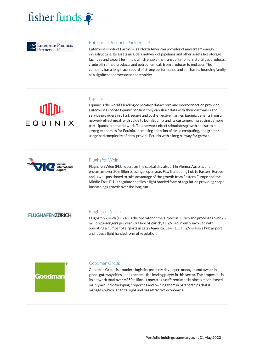



# Enterprise Products Partners L.P.

Enterprise Product Partners is a North American provider of midstream energy infrastructure. Its assets include a network of pipelines and other assets like storage facilities and export terminals which enable the transportation of natural gas products, crude oil, refined products and petrochemicals from producer to end user. The company has a long track record of strong performance and still has its founding family as a significant cornerstone shareholder.

# Equinix

Equinix is the world's leading co-location datacentre and interconnection provider. Enterprises choose Equinix because they can share data with their customers and service providers in a fast, secure and cost-effective manner. Equinix benefits from a network effect moat, with value to both Equinix and its customers increasing as more participants join the network. This network effect stimulates growth and sustains strong economics for Equinix. Increasing adoption of cloud computing, and greater usage and complexity of data, provide Equinix with a long runway for growth.



EQUINIX

# Flughafen Wein

Flughafen Wien (FLU) operates the capital city airport in Vienna, Austria, and processes over 20 million passengers per year. FLU is a leading hub to Eastern Europe and is well positioned to take advantage of the growth from Eastern Europe and the Middle East. FLU's regulator applies a light handed form of regulation providing scope for earnings growth over the long run.

# **FLUGHAFENZURICH**

# Flughafen Zurich

Flughafen Zurich (FHZN) is the operator of the airport at Zurich and processes over 25 million passengers per year. Outside of Zurich, FHZN is currently involved with operating a number of airports in Latin America. Like FLU, FHZN is also a hub airport and faces a light handed form of regulation.



# Goodman Group

Goodman Group is a modern logistics property developer, manager, and owner in global gateway cities. It has become the leading player in this sector. The properties in its network total over A\$50 billion. It operates a differentiated business model based mainly around developing properties and owning them in partnerships that it manages, which is capital light and has attractive economics.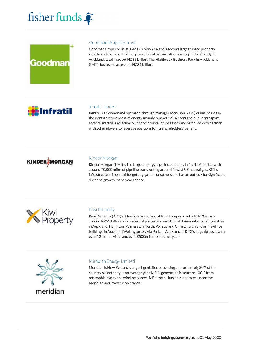



# **Goodman Property Trust**

Goodman Property Trust (GMT) is New Zealand's second largest listed property vehicle and owns portfolio of prime industrial and office assets predominantly in Auckland, totalling over NZ\$2 billion. The Highbrook Business Park in Auckland is GMT's key asset, at around NZ\$1 billion.



# **Infratil Limited**

Infratil is an owner and operator (through manager Morrison & Co.) of businesses in the infrastructure areas of energy (mainly renewable), airport and public transport sectors. Infratil is an active owner of infrastructure assets and often looks to partner with other players to leverage positions for its shareholders' benefit.



# Kinder Morgan

Kinder Morgan (KMI) is the largest energy pipeline company in North America, with around 70,000 miles of pipeline transporting around 40% of US natural gas. KMI's infrastructure is critical for getting gas to consumers and has an outlook for significant dividend growth in the years ahead.



# Kiwi Property

Kiwi Property (KPG) is New Zealand's largest listed property vehicle. KPG owns around NZ\$3 billion of commercial property, consisting of dominant shopping centres in Auckland, Hamilton, Palmerston North, Porirua and Christchurch and prime office buildings in Auckland Wellington. Sylvia Park, in Auckland, is KPG's flagship asset with over 12 million visits and over \$500m total sales per year.



# Meridian Energy Limited

Meridian is New Zealand's largest gentailer, producing approximately 30% of the country's electricity in an average year. MEL's generation is sourced 100% from renewable hydro and wind resources. MEL's retail business operates under the Meridian and Powershop brands.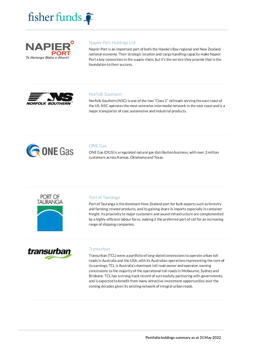



# Napier Port Holdings Ltd

Napier Port is an important part of both the Hawke's Bay regional and New Zealand national economy. Their strategic location and cargo handling capacity make Napier Port a key connection in the supply chain, but it's the service they provide that is the foundation to their success.



# Norfolk Southern

Norfolk Southern (NSC) is one of the two "Class 1" railroads serving the east coast of the US. NSC operates the most extensive intermodal network in the east coast and is a major transporter of coal, automotive and industrial products.



# **ONE Gas**

ONE Gas (OGS) is a regulated natural gas distribution business, with over 2 million customers across Kansas, Oklahoma and Texas.



# Port of Tauranga

Port of Tauranga is the dominant New Zealand port for bulk exports such as forestry and farming-related products, and its gaining share in imports especially in container freight. Its proximity to major customers and sound infrastructure are complemented by a highly-efficient labour force, making it the preferred port of call for an increasing range of shipping companies.



# Transurban

Transurban (TCL) owns a portfolio of long-dated concessions to operate urban toll roads in Australia and the USA, with its Australian operations representing the core of its earnings. TCL is Australia's dominant toll road owner and operator, owning concessions to the majority of the operational toll roads in Melbourne, Sydney and Brisbane. TCL has a strong track record of successfully partnering with governments, and is expected to benefit from many attractive investment opportunities over the coming decades given its existing network of integral urban roads.